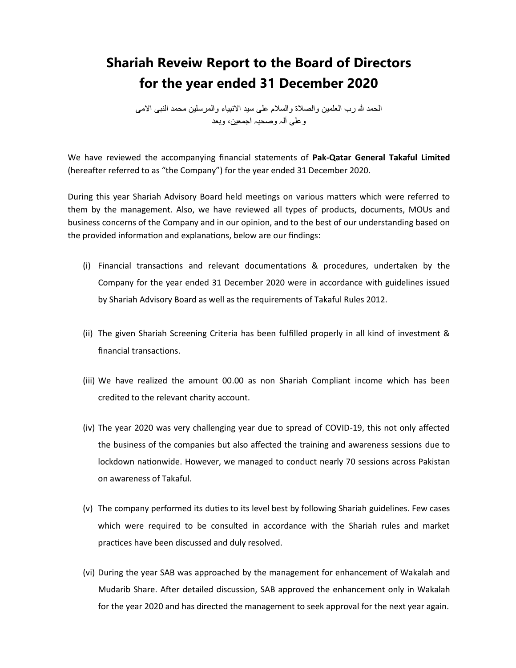## **Shariah Reveiw Report to the Board of Directors for the year ended 31 December 2020**

المحمد لله رب العلمين والصلاة والسلام على سيد الانبياء والمرسلين محمد النبي الامي وعلى أله وصحبه اجمعين، وبعد

We have reviewed the accompanying financial statements of **Pak-Qatar General Takaful Limited** (hereafter referred to as "the Company") for the year ended 31 December 2020.

During this year Shariah Advisory Board held meetings on various matters which were referred to them by the management. Also, we have reviewed all types of products, documents, MOUs and business concerns of the Company and in our opinion, and to the best of our understanding based on the provided information and explanations, below are our findings:

- (i) Financial transactions and relevant documentations & procedures, undertaken by the Company for the year ended 31 December 2020 were in accordance with guidelines issued by Shariah Advisory Board as well as the requirements of Takaful Rules 2012.
- (ii) The given Shariah Screening Criteria has been fulfilled properly in all kind of investment & financial transactions.
- (iii) We have realized the amount 00.00 as non Shariah Compliant income which has been credited to the relevant charity account.
- (iv) The year 2020 was very challenging year due to spread of COVID-19, this not only affected the business of the companies but also affected the training and awareness sessions due to lockdown nationwide. However, we managed to conduct nearly 70 sessions across Pakistan on awareness of Takaful.
- (v) The company performed its duties to its level best by following Shariah guidelines. Few cases which were required to be consulted in accordance with the Shariah rules and market practices have been discussed and duly resolved.
- (vi) During the year SAB was approached by the management for enhancement of Wakalah and Mudarib Share. After detailed discussion, SAB approved the enhancement only in Wakalah for the year 2020 and has directed the management to seek approval for the next year again.